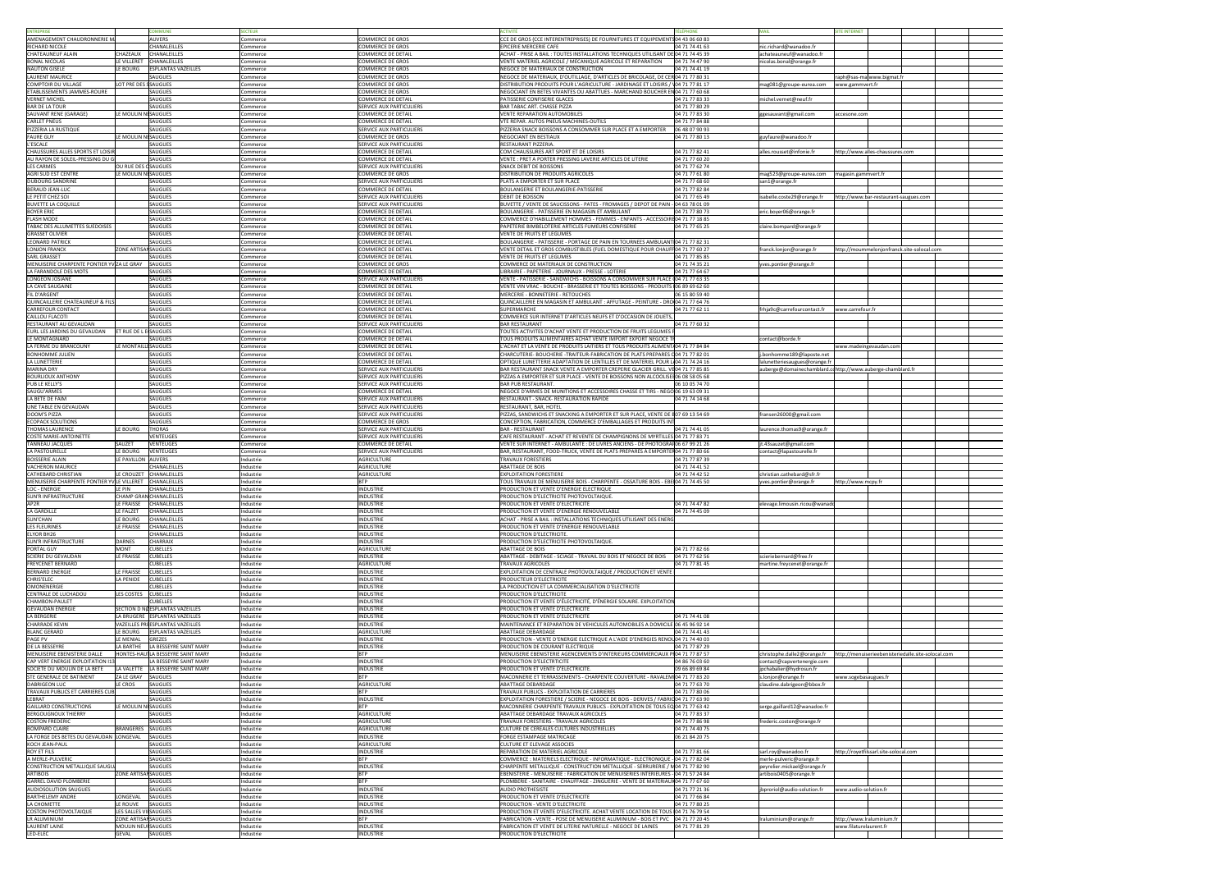|                                                                                                                                                                                                                                                                                                                                                                                                                                                                                                                                                                                                                                                                                                                                               |                                         |                  |                                 |                                                                                     |                |                                                            | <b>EINTERNET</b>       |                                       |                                                    |
|-----------------------------------------------------------------------------------------------------------------------------------------------------------------------------------------------------------------------------------------------------------------------------------------------------------------------------------------------------------------------------------------------------------------------------------------------------------------------------------------------------------------------------------------------------------------------------------------------------------------------------------------------------------------------------------------------------------------------------------------------|-----------------------------------------|------------------|---------------------------------|-------------------------------------------------------------------------------------|----------------|------------------------------------------------------------|------------------------|---------------------------------------|----------------------------------------------------|
| AMENAGEMENT CHAUDRONNERIE N                                                                                                                                                                                                                                                                                                                                                                                                                                                                                                                                                                                                                                                                                                                   | <b>AUVERS</b>                           | Commerce         | OMMERCE DE GROS                 | CCE DE GROS (CCE INTERENTREPRISES) DE FOURNITURES ET EQUIPEMENTS 04 43 06 60 83     |                |                                                            |                        |                                       |                                                    |
| RICHARD NICOLE                                                                                                                                                                                                                                                                                                                                                                                                                                                                                                                                                                                                                                                                                                                                | CHANALEILLES                            | Commerce         | COMMERCE DE GROS                | <b>EPICERIE MERCERIE CAFE</b>                                                       | 04 71 74 41 63 | nic.richard@wanadoo.fr                                     |                        |                                       |                                                    |
| CHATEAUNEUF ALAIN                                                                                                                                                                                                                                                                                                                                                                                                                                                                                                                                                                                                                                                                                                                             | <b>CHAZEAUX</b><br><b>CHANALEILLES</b>  | Commerce         | COMMERCE DE DETAIL              | ACHAT - PRISE A BAIL: TOUTES INSTALLATIONS TECHNIQUES UTILISANT DE 04 71 74 45 39   |                | achateauneuf@wanadoo.fr                                    |                        |                                       |                                                    |
| <b>BONAL NICOLAS</b>                                                                                                                                                                                                                                                                                                                                                                                                                                                                                                                                                                                                                                                                                                                          | CHANALEILLES<br>LE VILLERET             | Commerce         | COMMERCE DE GROS                | VENTE MATERIEL AGRICOLE / MECANIQUE AGRICOLE ET REPARATION                          | 04 71 74 47 90 | nicolas.bonal@orange.fr                                    |                        |                                       |                                                    |
| <b>NAUTON GISELE</b>                                                                                                                                                                                                                                                                                                                                                                                                                                                                                                                                                                                                                                                                                                                          | <b>ESPLANTAS VAZEILLES</b><br>LE BOURG  | Commerce         | COMMERCE DE GROS                | NEGOCE DE MATERIAUX DE CONSTRUCTION                                                 | 04 71 74 41 19 |                                                            |                        |                                       |                                                    |
| LAURENT MAURICE                                                                                                                                                                                                                                                                                                                                                                                                                                                                                                                                                                                                                                                                                                                               | SAUGUES                                 | Commerce         | COMMERCE DE GROS                | NEGOCE DE MATERIAUX, D'OUTILLAGE, D'ARTICLES DE BRICOLAGE, DE CERO4 71 77 80 31     |                |                                                            |                        | raph@sas-mawww.bigmat.fr              |                                                    |
| COMPTOIR DU VILLAGE                                                                                                                                                                                                                                                                                                                                                                                                                                                                                                                                                                                                                                                                                                                           | LOT PRE DES SAUGUES                     | Commerce         | COMMERCE DE GROS                | DISTRIBUTION PRODUITS POUR L'AGRICULTURE - JARDINAGE ET LOISIRS / 104 71 77 81 17   |                | mag081@groupe-eurea.com                                    | www.gammvert.fr        |                                       |                                                    |
| ETABLISSEMENTS JAMMES-ROURE                                                                                                                                                                                                                                                                                                                                                                                                                                                                                                                                                                                                                                                                                                                   | SAUGUES                                 | Commerce         | COMMERCE DE GROS                | NEGOCIANT EN BETES VIVANTES OU ABATTUES - MARCHAND BOUCHER EN04 71 77 60 68         |                |                                                            |                        |                                       |                                                    |
| <b>VERNET MICHEL</b>                                                                                                                                                                                                                                                                                                                                                                                                                                                                                                                                                                                                                                                                                                                          | <b>SAUGUES</b>                          | Commerce         | COMMERCE DE DETAIL              | PATISSERIE CONFISERIE GLACES                                                        | 04 71 77 83 33 | michel.vernet@neuf.fr                                      |                        |                                       |                                                    |
| <b>BAR DE LA TOUR</b>                                                                                                                                                                                                                                                                                                                                                                                                                                                                                                                                                                                                                                                                                                                         | <b>SAUGUES</b>                          | Commerce         | <b>SERVICE AUX PARTICULIERS</b> | BAR TABAC ART. CHASSE PIZZA                                                         | 04 71 77 80 29 |                                                            |                        |                                       |                                                    |
| SAUVANT RENE (GARAGE)                                                                                                                                                                                                                                                                                                                                                                                                                                                                                                                                                                                                                                                                                                                         | LE MOULIN NISAUGUES                     | ommerce:         | COMMERCE DE DETAIL              | <b>VENTE REPARATION AUTOMOBILES</b>                                                 | 04 71 77 83 30 | ggesauvant@gmail.com                                       | accesone.com           |                                       |                                                    |
| <b>CARLET PNEUS</b>                                                                                                                                                                                                                                                                                                                                                                                                                                                                                                                                                                                                                                                                                                                           | SAUGUES                                 | ommerce:         | COMMERCE DE DETAIL              | VTE REPAR. AUTOS PNEUS MACHINES-OUTILS                                              | 04 71 77 84 88 |                                                            |                        |                                       |                                                    |
| PIZZERIA LA RUSTIQUE                                                                                                                                                                                                                                                                                                                                                                                                                                                                                                                                                                                                                                                                                                                          | <b>SAUGUES</b>                          | Commerce         | <b>SERVICE AUX PARTICULIERS</b> | PIZZERIA SNACK BOISSONS A CONSOMMER SUR PLACE ET A EMPORTER                         | 06 48 07 90 93 |                                                            |                        |                                       |                                                    |
| <b>FAURE GUY</b>                                                                                                                                                                                                                                                                                                                                                                                                                                                                                                                                                                                                                                                                                                                              | LE MOULIN NI SAUGUES                    | Commerce         | COMMERCE DE GROS                | <b>NEGOCIANT EN BESTIAUX</b>                                                        | 04 71 77 80 13 | guyfaure@wanadoo.fr                                        |                        |                                       |                                                    |
| L'ESCALE                                                                                                                                                                                                                                                                                                                                                                                                                                                                                                                                                                                                                                                                                                                                      | <b>SAUGUES</b>                          | Commerce         | <b>SERVICE AUX PARTICULIERS</b> | <b>RESTAURANT PIZZERIA</b>                                                          |                |                                                            |                        |                                       |                                                    |
| <b>CHAUSSURES ALLES SPORTS ET LOISIR</b>                                                                                                                                                                                                                                                                                                                                                                                                                                                                                                                                                                                                                                                                                                      | <b>SAUGUES</b>                          | Commerce         | <b>COMMERCE DE DETAIL</b>       | COM CHAUSSURES ART SPORT ET DE LOISIRS                                              | 04 71 77 82 41 | alles.rousset@infonie.fr                                   |                        | nttp://www.alles-chaussures.com       |                                                    |
| AU RAYON DE SOLEIL-PRESSING DU G                                                                                                                                                                                                                                                                                                                                                                                                                                                                                                                                                                                                                                                                                                              | <b>SAUGUES</b>                          | ommerce          | COMMERCE DE DETAIL              | VENTE : PRET A PORTER PRESSING LAVERIE ARTICLES DE LITERIE                          | 04 71 77 60 20 |                                                            |                        |                                       |                                                    |
| <b>LES CARMES</b>                                                                                                                                                                                                                                                                                                                                                                                                                                                                                                                                                                                                                                                                                                                             | OU RUE DES OSAUGUES                     | Commerce         | <b>SERVICE AUX PARTICULIERS</b> | <b>SNACK DEBIT DE BOISSONS</b>                                                      | 04 71 77 62 74 |                                                            |                        |                                       |                                                    |
| <b>AGRI SUD EST CENTRE</b>                                                                                                                                                                                                                                                                                                                                                                                                                                                                                                                                                                                                                                                                                                                    | LE MOULIN NISAUGUES                     | Commerce         | COMMERCE DE GROS                | <b>DISTRIBUTION DE PRODUITS AGRICOLES</b>                                           | 04 71 77 61 80 | mag523@groupe-eurea.com                                    | magasin.gammvert.fr    |                                       |                                                    |
| <b>DUBOURG SANDRINE</b>                                                                                                                                                                                                                                                                                                                                                                                                                                                                                                                                                                                                                                                                                                                       | <b>SAUGUES</b>                          | Commerce         | <b>SERVICE AUX PARTICULIERS</b> | IPLATS A EMPORTER ET SUR PLACE                                                      | 04 71 77 68 60 | san1@orange.fr                                             |                        |                                       |                                                    |
| <b>BERAUD JEAN-LUC</b>                                                                                                                                                                                                                                                                                                                                                                                                                                                                                                                                                                                                                                                                                                                        | <b>SAUGUES</b>                          | Commerce         | COMMERCE DE DETAIL              | BOULANGERIE ET BOULANGERIE-PATISSERIE                                               | 04 71 77 82 84 |                                                            |                        |                                       |                                                    |
| LE PETIT CHEZ SOI                                                                                                                                                                                                                                                                                                                                                                                                                                                                                                                                                                                                                                                                                                                             | SAUGUES                                 | Commerce         | <b>SERVICE AUX PARTICULIERS</b> | <b>DEBIT DE BOISSON</b>                                                             | 04 71 77 65 49 | isabelle.coste29@orange.fr                                 |                        | nttp://www.bar-restaurant-saugues.com |                                                    |
| <b>BUVETTE LA COQUILLE</b>                                                                                                                                                                                                                                                                                                                                                                                                                                                                                                                                                                                                                                                                                                                    | SAUGUES                                 | Commerce         | <b>SERVICE AUX PARTICULIERS</b> | 3UVETTE / VENTE DE SAUCISSONS - PATES - FROMAGES / DEPOT DE PAIN - 04 63 78 01 09   |                |                                                            |                        |                                       |                                                    |
| <b>BOYER ERIC</b>                                                                                                                                                                                                                                                                                                                                                                                                                                                                                                                                                                                                                                                                                                                             | <b>SAUGUES</b>                          | Commerce         | COMMERCE DE DETAIL              | BOULANGERIE - PATISSERIE EN MAGASIN ET AMBULANT                                     | 04 71 77 80 73 | eric.boyer06@orange.fr                                     |                        |                                       |                                                    |
| <b>FLASH MODE</b>                                                                                                                                                                                                                                                                                                                                                                                                                                                                                                                                                                                                                                                                                                                             | SAUGUES                                 | Commerce         | COMMERCE DE DETAIL              | COMMERCE D'HABILLEMENT HOMMES - FEMMES - ENFANTS - ACCESSOIRE 04 71 77 18 85        |                |                                                            |                        |                                       |                                                    |
| TABAC DES ALLUMETTES SUEDOISES                                                                                                                                                                                                                                                                                                                                                                                                                                                                                                                                                                                                                                                                                                                | SAUGUES                                 | Commerce         | COMMERCE DE DETAIL              | PAPETERIE BIMBELOTERIE ARTICLES FUMEURS CONFISERIE                                  | 04 71 77 65 25 | claire.bompard@orange.fr                                   |                        |                                       |                                                    |
| <b>GRASSET OLIVIER</b>                                                                                                                                                                                                                                                                                                                                                                                                                                                                                                                                                                                                                                                                                                                        | SAUGUES                                 | Commerce         | COMMERCE DE DETAIL              | VENTE DE FRUITS ET LEGUMES                                                          |                |                                                            |                        |                                       |                                                    |
| LEONARD PATRICK                                                                                                                                                                                                                                                                                                                                                                                                                                                                                                                                                                                                                                                                                                                               | SAUGUES                                 | Commerce         | COMMERCE DE DETAIL              | BOULANGERIE - PATISSERIE - PORTAGE DE PAIN EN TOURNEES AMBULANT 04 71 77 82 31      |                |                                                            |                        |                                       |                                                    |
| <b>LONJON FRANCK</b>                                                                                                                                                                                                                                                                                                                                                                                                                                                                                                                                                                                                                                                                                                                          | <b>ZONE ARTISANSAUGUES</b>              | Commerce         | COMMERCE DE DETAIL              | VENTE DETAIL ET GROS COMBUSTIBLES (FUEL DOMESTIQUE POUR CHAUFF 04 71 77 60 27       |                | franck.lonjon@orange.fr                                    |                        |                                       | http://moummelonjonfranck.site-solocal.com         |
| SARL GRASSET                                                                                                                                                                                                                                                                                                                                                                                                                                                                                                                                                                                                                                                                                                                                  | SAUGUES                                 | Commerce         | COMMERCE DE DETAIL              | VENTE DE FRUITS ET LEGUMES                                                          | 04 71 77 85 85 |                                                            |                        |                                       |                                                    |
| MENUISERIE CHARPENTE PONTIER YVZA LE GRAY SAUGUES                                                                                                                                                                                                                                                                                                                                                                                                                                                                                                                                                                                                                                                                                             |                                         | Commerce         | COMMERCE DE GROS                | COMMERCE DE MATERIAUX DE CONSTRUCTION                                               | 04 71 74 35 21 | yves.pontier@orange.f                                      |                        |                                       |                                                    |
| LA FARANDOLE DES MOTS                                                                                                                                                                                                                                                                                                                                                                                                                                                                                                                                                                                                                                                                                                                         | SAUGUES                                 | Commerce         | COMMERCE DE DETAIL              | LIBRAIRIE - PAPETERIE - JOURNAUX - PRESSE - LOTERIE                                 | 04 71 77 64 67 |                                                            |                        |                                       |                                                    |
| LONGEON JOSIANE                                                                                                                                                                                                                                                                                                                                                                                                                                                                                                                                                                                                                                                                                                                               | <b>SAUGUES</b>                          | Commerce         | <b>SERVICE AUX PARTICULIERS</b> | VENTE - PATISSERIE - SANDWICHS - BOISSONS A CONSOMMER SUR PLACE (04 71 77 63 35     |                |                                                            |                        |                                       |                                                    |
| LA CAVE SAUGAINE                                                                                                                                                                                                                                                                                                                                                                                                                                                                                                                                                                                                                                                                                                                              | SAUGUES                                 | Commerce         | COMMERCE DE DETAIL              | VENTE VIN VRAC - BOUCHE - BRASSERIE ET TOUTES BOISSONS - PRODUITS 106 89 69 62 60   |                |                                                            |                        |                                       |                                                    |
| FIL D'ARGENT                                                                                                                                                                                                                                                                                                                                                                                                                                                                                                                                                                                                                                                                                                                                  | SAUGUES                                 |                  | COMMERCE DE DETAIL              | <b>MERCERIE - BONNETERIE - RETOUCHES</b>                                            | 06 15 80 59 40 |                                                            |                        |                                       |                                                    |
| <b>QUINCAILLERIE CHATEAUNEUF &amp; FILS</b>                                                                                                                                                                                                                                                                                                                                                                                                                                                                                                                                                                                                                                                                                                   | <b>SAUGUES</b>                          | Commerce         | COMMERCE DE DETAIL              | QUINCAILLERIE EN MAGASIN ET AMBULANT : AFFUTAGE - PEINTURE - DRO 04 71 77 64 76     |                |                                                            |                        |                                       |                                                    |
|                                                                                                                                                                                                                                                                                                                                                                                                                                                                                                                                                                                                                                                                                                                                               |                                         | Commerce         |                                 |                                                                                     |                |                                                            |                        |                                       |                                                    |
| CARREFOUR CONTACT                                                                                                                                                                                                                                                                                                                                                                                                                                                                                                                                                                                                                                                                                                                             | <b>SAUGUES</b>                          | Commerce         | COMMERCE DE DETAIL              | SUPERMARCHE                                                                         | 04 71 77 62 11 | frhja9c@carrefourcontact.fr                                | www.carrefour.fr       |                                       |                                                    |
| CAILLOU FLACOTI                                                                                                                                                                                                                                                                                                                                                                                                                                                                                                                                                                                                                                                                                                                               | <b>SAUGUES</b>                          | Commerce         | COMMERCE DE DETAIL              | COMMERCE SUR INTERNET D'ARTICLES NEUFS ET D'OCCASION DE JOUETS                      |                |                                                            |                        |                                       |                                                    |
| RESTAURANT AU GEVAUDAN                                                                                                                                                                                                                                                                                                                                                                                                                                                                                                                                                                                                                                                                                                                        | <b>SAUGUES</b>                          | Commerce         | <b>SERVICE AUX PARTICULIERS</b> | <b>BAR RESTAURANT</b>                                                               | 04 71 77 60 32 |                                                            |                        |                                       |                                                    |
| EURL LES JARDINS DU GEVAUDAN                                                                                                                                                                                                                                                                                                                                                                                                                                                                                                                                                                                                                                                                                                                  | <b>ET RUE DE L E SAUGUES</b>            | Commerce         | COMMERCE DE DETAIL              | TOUTES ACTIVITES D'ACHAT VENTE ET PRODUCTION DE FRUITS LEGUMES                      |                |                                                            |                        |                                       |                                                    |
| LE MONTAGNARD                                                                                                                                                                                                                                                                                                                                                                                                                                                                                                                                                                                                                                                                                                                                 | <b>SAUGUES</b>                          | Commerce         | <b>COMMERCE DE DETAIL</b>       | TOUS PRODUITS ALIMENTAIRES ACHAT VENTE IMPORT EXPORT NEGOCE                         |                | contact@borde.fr                                           |                        |                                       |                                                    |
| LA FERME DU BRANCOUNY                                                                                                                                                                                                                                                                                                                                                                                                                                                                                                                                                                                                                                                                                                                         | LE MONTAILLESAUGUES                     | ommerce:         | COMMERCE DE DETAIL              | L'ACHAT ET LA VENTE DE PRODUITS LAITIERS ET TOUS PRODUITS ALIMENT/04 71 77 84 84    |                |                                                            |                        | www.madeingevaudan.com                |                                                    |
| <b>BONHOMME JULIEN</b>                                                                                                                                                                                                                                                                                                                                                                                                                                                                                                                                                                                                                                                                                                                        | <b>SAUGUES</b>                          | ommerce:         | COMMERCE DE DETAIL              | CHARCUTERIE- BOUCHERIE -TRAITEUR-FABRICATION DE PLATS PREPARES (]04 71 77 82 01     |                | j.bonhomme189@laposte.net                                  |                        |                                       |                                                    |
| LA LUNETTERIE                                                                                                                                                                                                                                                                                                                                                                                                                                                                                                                                                                                                                                                                                                                                 | SAUGUES                                 | Commerce         | COMMERCE DE DETAIL              | OPTIQUE LUNETTERIE ADAPTATION DE LENTILLES ET DE MATERIEL POUR L 04 71 74 24 16     |                | lalunetteriesaugues@orange.fr                              |                        |                                       |                                                    |
| <b>MARINA DRY</b>                                                                                                                                                                                                                                                                                                                                                                                                                                                                                                                                                                                                                                                                                                                             | <b>SAUGUES</b>                          | Commerce         | <b>SERVICE AUX PARTICULIERS</b> | BAR RESTAURANT SNACK VENTE A EMPORTER CREPERIE GLACIER GRILL. VE04 71 77 85 85      |                | auberge@domainechamblard.conttp://www.auberge-chamblard.fr |                        |                                       |                                                    |
| <b>BOURLIOUX ANTHONY</b>                                                                                                                                                                                                                                                                                                                                                                                                                                                                                                                                                                                                                                                                                                                      | <b>SAUGUES</b>                          | Commerce         | <b>SERVICE AUX PARTICULIERS</b> | PIZZAS A EMPORTER ET SUR PLACE - VENTE DE BOISSONS NON ALCOOLISE 106 08 58 05 68    |                |                                                            |                        |                                       |                                                    |
| PUB LE KELLY'S                                                                                                                                                                                                                                                                                                                                                                                                                                                                                                                                                                                                                                                                                                                                | <b>SAUGUES</b>                          | Commerce         | <b>SERVICE AUX PARTICULIERS</b> | IBAR PUB RESTAURANT.                                                                | 06 10 05 74 70 |                                                            |                        |                                       |                                                    |
| SAUGU'ARMES                                                                                                                                                                                                                                                                                                                                                                                                                                                                                                                                                                                                                                                                                                                                   | <b>SAUGUES</b>                          | ommerce          | COMMERCE DE DETAIL              | NEGOCE D'ARMES DE MUNITIONS ET ACCESSOIRES CHASSE ET TIRS - NEGO 06 19 63 09 31     |                |                                                            |                        |                                       |                                                    |
| LA BETE DE FAIM                                                                                                                                                                                                                                                                                                                                                                                                                                                                                                                                                                                                                                                                                                                               | SAUGUES                                 | Commerce         | <b>SERVICE AUX PARTICULIERS</b> | IRESTAURANT - SNACK- RESTAURATION RAPIDE                                            | 04 71 74 14 68 |                                                            |                        |                                       |                                                    |
| UNE TABLE EN GEVAUDAN                                                                                                                                                                                                                                                                                                                                                                                                                                                                                                                                                                                                                                                                                                                         | <b>SAUGUES</b>                          | Commerce         | <b>SERVICE AUX PARTICULIERS</b> | RESTAURANT, BAR, HOTEL                                                              |                |                                                            |                        |                                       |                                                    |
| DOOM'S PIZZA                                                                                                                                                                                                                                                                                                                                                                                                                                                                                                                                                                                                                                                                                                                                  | <b>SAUGUES</b>                          | Commerce         | <b>SERVICE AUX PARTICULIERS</b> | PIZZAS, SANDWICHS ET SNACKING A EMPORTER ET SUR PLACE, VENTE DE E07 69 13 54 69     |                | fransen26000@gmail.com                                     |                        |                                       |                                                    |
| <b>ECOPACK SOLUTIONS</b>                                                                                                                                                                                                                                                                                                                                                                                                                                                                                                                                                                                                                                                                                                                      | SAUGUES                                 | Commerce         | <b>COMMERCE DE GROS</b>         | CONCEPTION, FABRICATION, COMMERCE D'EMBALLAGES ET PRODUITS II                       |                |                                                            |                        |                                       |                                                    |
| THOMAS LAURENCE                                                                                                                                                                                                                                                                                                                                                                                                                                                                                                                                                                                                                                                                                                                               | <b>THORAS</b><br>LE BOURG               | Commerce         | <b>SERVICE AUX PARTICULIERS</b> | IBAR - RESTAURANT                                                                   | 04 71 74 41 05 | laurence.thomas9@orange.fr                                 |                        |                                       |                                                    |
| COSTE MARIE-ANTOINETTE                                                                                                                                                                                                                                                                                                                                                                                                                                                                                                                                                                                                                                                                                                                        | <b>VENTEUGES</b>                        | Commerce         | <b>SERVICE AUX PARTICULIERS</b> | CAFE RESTAURANT - ACHAT ET REVENTE DE CHAMPIGNONS DE MYRTILLES 04 71 77 83 71       |                |                                                            |                        |                                       |                                                    |
| TANNEAU JACQUES                                                                                                                                                                                                                                                                                                                                                                                                                                                                                                                                                                                                                                                                                                                               | <b>SAUZET</b><br>VENTEUGES              | Commerce         | COMMERCE DE DETAIL              | VENTE SUR INTERNET - AMBULANTE : DE LIVRES ANCIENS - DE PHOTOGRAIO6 67 99 21 26     |                | jt.43sauzet@gmail.com                                      |                        |                                       |                                                    |
| LA PASTOURELLE                                                                                                                                                                                                                                                                                                                                                                                                                                                                                                                                                                                                                                                                                                                                | LE BOURG<br><b>VENTEUGES</b>            | Commerce         | SERVICE AUX PARTICULIERS        | BAR, RESTAURANT, FOOD-TRUCK, VENTE DE PLATS PRÉPARÉS À EMPORTEF[04 71 77 80 66]     |                | contact@lapastourelle.fr                                   |                        |                                       |                                                    |
| <b>BOISSERIE ALAIN</b>                                                                                                                                                                                                                                                                                                                                                                                                                                                                                                                                                                                                                                                                                                                        | LE PAVILLON AUVERS                      | Industrie        | <b>AGRICULTURE</b>              | <b>TRAVAUX FORESTIERS</b>                                                           | 04 71 77 87 39 |                                                            |                        |                                       |                                                    |
| <b>VACHERON MAURICE</b>                                                                                                                                                                                                                                                                                                                                                                                                                                                                                                                                                                                                                                                                                                                       | <b>CHANALEILLE</b>                      | Industrie        | AGRICULTURE                     | <b>ABATTAGE DE BOIS</b>                                                             | 04 71 74 41 52 |                                                            |                        |                                       |                                                    |
| CATHEBARD CHRISTIAN                                                                                                                                                                                                                                                                                                                                                                                                                                                                                                                                                                                                                                                                                                                           | LE CROUZET CHANALEILLES                 | Industrie        | AGRICULTURE                     | <b>EXPLOITATION FORESTIERE</b>                                                      | 04 71 74 42 52 | christian.cathebard@sfr.fr                                 |                        |                                       |                                                    |
| MENUISERIE CHARPENTE PONTIER YV LE VILLERET                                                                                                                                                                                                                                                                                                                                                                                                                                                                                                                                                                                                                                                                                                   | CHANALEILLES                            | Industrie        | RTD.                            | TOUS TRAVAUX DE MENUISERIE BOIS - CHARPENTE - OSSATURE BOIS - EBEI04 71 74 45 50    |                | yves.pontier@orange.f                                      | http://www.mcpy.fr     |                                       |                                                    |
| LOC - ENERGIE                                                                                                                                                                                                                                                                                                                                                                                                                                                                                                                                                                                                                                                                                                                                 | CHANALEILLES<br>le pin                  | Industrie        | <b>INDUSTRIE</b>                | PRODUCTION ET VENTE D'ENERGIE ELECTRIQUE                                            |                |                                                            |                        |                                       |                                                    |
| SUN'R INFRASTRUCTURI                                                                                                                                                                                                                                                                                                                                                                                                                                                                                                                                                                                                                                                                                                                          | <b>CHAMP GRAN CHANALEILLES</b>          | Industrie        | <b>INDUSTRIE</b>                | PRODUCTION D'ELECTRICITE PHOTOVOLTAIQUE.                                            |                |                                                            |                        |                                       |                                                    |
|                                                                                                                                                                                                                                                                                                                                                                                                                                                                                                                                                                                                                                                                                                                                               |                                         |                  |                                 |                                                                                     |                |                                                            |                        |                                       |                                                    |
| AP2R                                                                                                                                                                                                                                                                                                                                                                                                                                                                                                                                                                                                                                                                                                                                          | LE FRAISSE<br><b>CHANALEILLES</b>       | Industrie        | <b>INDUSTRIE</b>                | PRODUCTION ET VENTE D'ELECTRICITE                                                   | 04 71 74 47 82 | elevage.limousin.ricou@wanad                               |                        |                                       |                                                    |
| LA GARDILLE                                                                                                                                                                                                                                                                                                                                                                                                                                                                                                                                                                                                                                                                                                                                   | LE FALZET<br>CHANALEILLES               | Industrie        | <b>INDUSTRIE</b>                | PRODUCTION ET VENTE D'ENERGIE RENOUVELABLE                                          | 04 71 74 45 09 |                                                            |                        |                                       |                                                    |
|                                                                                                                                                                                                                                                                                                                                                                                                                                                                                                                                                                                                                                                                                                                                               |                                         |                  |                                 | ACHAT - PRISE A BAIL : INSTALLATIONS TECHNIQUES UTILISANT DES ENERG                 |                |                                                            |                        |                                       |                                                    |
|                                                                                                                                                                                                                                                                                                                                                                                                                                                                                                                                                                                                                                                                                                                                               | LE BOURG<br>CHANALEILLES                | Industrie        | <b>INDUSTRIE</b>                |                                                                                     |                |                                                            |                        |                                       |                                                    |
|                                                                                                                                                                                                                                                                                                                                                                                                                                                                                                                                                                                                                                                                                                                                               | <b>LE FRAISSE</b><br>CHANALEILLES       | Industrie        | <b>INDUSTRIE</b>                | PRODUCTION ET VENTE D'ENERGIE RENOUVELABLE                                          |                |                                                            |                        |                                       |                                                    |
|                                                                                                                                                                                                                                                                                                                                                                                                                                                                                                                                                                                                                                                                                                                                               | CHANALEILLES                            | Industrie        | <b>INDUSTRIE</b>                | <b>PRODUCTION D'ELECTRICITE</b>                                                     |                |                                                            |                        |                                       |                                                    |
|                                                                                                                                                                                                                                                                                                                                                                                                                                                                                                                                                                                                                                                                                                                                               | <b>DARNES</b><br>CHARRAIX               | Industrie        | <b>INDUSTRIE</b>                | PRODUCTION D'ELECTRICITE PHOTOVOLTAIQUE.                                            |                |                                                            |                        |                                       |                                                    |
|                                                                                                                                                                                                                                                                                                                                                                                                                                                                                                                                                                                                                                                                                                                                               | <b>MONT</b><br><b>CUBELLES</b>          | Industrie        | <b>AGRICULTURE</b>              | <b>ABATTAGE DE BOIS</b>                                                             | 04 71 77 82 66 |                                                            |                        |                                       |                                                    |
|                                                                                                                                                                                                                                                                                                                                                                                                                                                                                                                                                                                                                                                                                                                                               | <b>CUBELLES</b><br>LE FRAISSE           | Industrie        | <b>INDUSTRIE</b>                | ABATTAGE - DEBITAGE - SCIAGE - TRAVAIL DU BOIS ET NEGOCE DE BOIS                    | 04 71 77 62 56 | scieriebernard@free.fr                                     |                        |                                       |                                                    |
|                                                                                                                                                                                                                                                                                                                                                                                                                                                                                                                                                                                                                                                                                                                                               | <b>CUBELLES</b>                         | Industrie        | <b>AGRICULTURE</b>              | <b>TRAVAUX AGRICOLES</b>                                                            | 04 71 77 81 45 | martine.freycenet@orange.fr                                |                        |                                       |                                                    |
|                                                                                                                                                                                                                                                                                                                                                                                                                                                                                                                                                                                                                                                                                                                                               | <b>CUBELLES</b><br><b>LE FRAISSE</b>    | Industrie        | <b>INDUSTRIE</b>                | EXPLOITATION DE CENTRALE PHOTOVOLTAIQUE / PRODUCTION ET VENTI                       |                |                                                            |                        |                                       |                                                    |
|                                                                                                                                                                                                                                                                                                                                                                                                                                                                                                                                                                                                                                                                                                                                               | LA PENIDE<br><b>UBELLES</b>             | Industrie        | <b>INDUSTRIE</b>                | PRODUCTEUR D'ELECTRICITE                                                            |                |                                                            |                        |                                       |                                                    |
|                                                                                                                                                                                                                                                                                                                                                                                                                                                                                                                                                                                                                                                                                                                                               | UBELLES                                 | ıdustrie         | <b>INDUSTRIE</b>                | LA PRODUCTION ET LA COMMERCIALISATION D'ELECTRICITE                                 |                |                                                            |                        |                                       |                                                    |
|                                                                                                                                                                                                                                                                                                                                                                                                                                                                                                                                                                                                                                                                                                                                               | LES COSTES CUBELLES                     | Industrie        | <b>INDUSTRIE</b>                | PRODUCTION D'ELECTRICITE                                                            |                |                                                            |                        |                                       |                                                    |
|                                                                                                                                                                                                                                                                                                                                                                                                                                                                                                                                                                                                                                                                                                                                               | <b>CUBELLES</b>                         | Industrie        | <b>INDUSTRIE</b>                | PRODUCTION ET VENTE D'ÉLECTRICITÉ, D'ÉNERGIE SOLAIRE. EXPLOITATION                  |                |                                                            |                        |                                       |                                                    |
|                                                                                                                                                                                                                                                                                                                                                                                                                                                                                                                                                                                                                                                                                                                                               | SECTION D NOESPLANTAS VAZEILLES         | Industrie        | <b>INDUSTRIE</b>                | PRODUCTION ET VENTE D'ELECTRICITE                                                   |                |                                                            |                        |                                       |                                                    |
|                                                                                                                                                                                                                                                                                                                                                                                                                                                                                                                                                                                                                                                                                                                                               | LA BRUGERE   ESPLANTAS VAZEILLES        | Industrie        | <b>INDUSTRIE</b>                | PRODUCTION ET VENTE D'ELECTRICITE                                                   | 04 71 74 41 08 |                                                            |                        |                                       |                                                    |
|                                                                                                                                                                                                                                                                                                                                                                                                                                                                                                                                                                                                                                                                                                                                               | <b>VAZEILLES PREESPLANTAS VAZEILLES</b> | Industrie        | <b>INDUSTRIE</b>                | MAINTENANCE ET REPARATION DE VEHICULES AUTOMOBILES A DOMICILE 06 45 96 92 14        |                |                                                            |                        |                                       |                                                    |
|                                                                                                                                                                                                                                                                                                                                                                                                                                                                                                                                                                                                                                                                                                                                               | <b>ESPLANTAS VAZEILLES</b><br>LE BOURG  | Industrie        | <b>AGRICULTURE</b>              | ABATTAGE DEBARDAGE                                                                  | 04 71 74 41 43 |                                                            |                        |                                       |                                                    |
|                                                                                                                                                                                                                                                                                                                                                                                                                                                                                                                                                                                                                                                                                                                                               | LE MENIAL<br>IGREZES                    | Industrie        | <b>INDUSTRIE</b>                | PRODUCTION - VENTE D'ENERGIE ELECTRIQUE A L'AIDE D'ENERGIES RENOU04 71 74 40 03     |                |                                                            |                        |                                       |                                                    |
|                                                                                                                                                                                                                                                                                                                                                                                                                                                                                                                                                                                                                                                                                                                                               | LA BARTHE<br>LA BESSEYRE SAINT MARY     | Industrie        |                                 |                                                                                     | 04 71 77 87 29 |                                                            |                        |                                       |                                                    |
|                                                                                                                                                                                                                                                                                                                                                                                                                                                                                                                                                                                                                                                                                                                                               |                                         |                  | <b>INDUSTRIE</b><br>RTD.        | PRODUCTION DE COURANT ELECTRIQUE                                                    |                |                                                            |                        |                                       |                                                    |
|                                                                                                                                                                                                                                                                                                                                                                                                                                                                                                                                                                                                                                                                                                                                               | HONTES-HAUTLA BESSEYRE SAINT MARY       | Industrie        |                                 | MENUISERIE EBENISTERIE AGENCEMENTS D'INTERIEURS COMMERCIAUX PIO4 71 77 87 57        |                | christophe.dalle2@orange.fr                                |                        |                                       | http://menuiserieebenisteriedalle.site-solocal.com |
|                                                                                                                                                                                                                                                                                                                                                                                                                                                                                                                                                                                                                                                                                                                                               | LA BESSEYRE SAINT MARY                  | Industrie        | <b>INDUSTRIE</b>                | PRODUCTION D'ELECTRTICITE                                                           | 04 86 76 03 60 | contact@capvertenergie.com                                 |                        |                                       |                                                    |
|                                                                                                                                                                                                                                                                                                                                                                                                                                                                                                                                                                                                                                                                                                                                               | LA VALETTE   LA BESSEYRE SAINT MARY     | Industrie        | <b>INDUSTRIE</b><br>RTD.        | PRODUCTION ET VENTE D'ELECTRICITE.                                                  | 09 66 89 69 84 | jpchabalier@hydrosun.fr                                    |                        |                                       |                                                    |
|                                                                                                                                                                                                                                                                                                                                                                                                                                                                                                                                                                                                                                                                                                                                               | ZA LE GRAY SAUGUES                      | Industrie        |                                 | MACONNERIE ET TERRASSEMENTS - CHARPENTE COUVERTURE - RAVALEM 04 71 77 83 20         |                | s.lonjon@orange.fr                                         | www.sogebasaugues.fr   |                                       |                                                    |
|                                                                                                                                                                                                                                                                                                                                                                                                                                                                                                                                                                                                                                                                                                                                               | E CROS<br>SAUGUES                       | Industrie        | <b>AGRICULTURE</b><br>RTD.      | ABATTAGE DEBARDAGE                                                                  | 04 71 77 63 70 | claudine.dabrigeon@bbox.fr                                 |                        |                                       |                                                    |
|                                                                                                                                                                                                                                                                                                                                                                                                                                                                                                                                                                                                                                                                                                                                               | SAUGUES                                 | Industrie        |                                 | TRAVAUX PUBLICS - EXPLOITATION DE CARRIERES                                         | 04 71 77 80 06 |                                                            |                        |                                       |                                                    |
|                                                                                                                                                                                                                                                                                                                                                                                                                                                                                                                                                                                                                                                                                                                                               | SAUGUES                                 | Industrie        | <b>INDUSTRIE</b><br>RTD.        | EXPLOITATION FORESTIERE / SCIERIE - NEGOCE DE BOIS - DERIVES / FABRIQ04 71 77 63 90 |                |                                                            |                        |                                       |                                                    |
|                                                                                                                                                                                                                                                                                                                                                                                                                                                                                                                                                                                                                                                                                                                                               | LE MOULIN NISAUGUES                     | Industrie        |                                 | MACONNERIE CHARPENTE TRAVAUX PUBLICS - EXPLOITATION DE TOUS EQ 04 71 77 63 42       |                | serge.gaillard12@wanadoo.fr                                |                        |                                       |                                                    |
|                                                                                                                                                                                                                                                                                                                                                                                                                                                                                                                                                                                                                                                                                                                                               | <b>SAUGUES</b>                          | <i>Industrie</i> | <b>AGRICULTURE</b>              | ABATTAGE DEBARDAGE TRAVAUX AGRICOLES                                                | 04 71 77 83 37 |                                                            |                        |                                       |                                                    |
|                                                                                                                                                                                                                                                                                                                                                                                                                                                                                                                                                                                                                                                                                                                                               | <b>SAUGUES</b>                          | Industrie        | <b>AGRICULTURE</b>              | TRAVAUX FORESTIERS - TRAVAUX AGRICOLES                                              | 04 71 77 86 98 | frederic.coston@orange.fr                                  |                        |                                       |                                                    |
|                                                                                                                                                                                                                                                                                                                                                                                                                                                                                                                                                                                                                                                                                                                                               | BRANGERES SAUGUES                       | Industrie        | <b>AGRICULTURE</b>              | CULTURE DE CEREALES CULTURES INDUSTRIELLES                                          | 04 71 74 40 75 |                                                            |                        |                                       |                                                    |
|                                                                                                                                                                                                                                                                                                                                                                                                                                                                                                                                                                                                                                                                                                                                               | SAUGUES                                 | Industrie        | <b>INDUSTRIE</b>                | <b>FORGE ESTAMPAGE MATRICAGE</b>                                                    | 06 21 84 20 75 |                                                            |                        |                                       |                                                    |
| SUN'CHAN<br>LES FLEURINES<br><b>ELYOR BH26</b><br>SUN'R INFRASTRUCTURI<br>PORTAL GUY<br>SCIERIE DU GEVAUDAN<br>FREYCENET BERNARD<br><b>BERNARD ENERGIE</b><br>CHRIS'ELEC<br>OMONENERGIE<br>CENTRALE DE LUCHADOU<br>CHAMBON-PAULET<br><b>GEVAUDAN ENERGIE</b><br>LA BERGERIE<br><b>CHARRADE KEVIN</b><br><b>BLANC GERARD</b><br>PAGE PV<br>DE LA BESSEYRE<br>MENUISERIE EBENISTERIE DALLE<br><b>CAP VERT ENERGIE EXPLOITATION I:</b><br>SOCIETE DU MOULIN DE LA BETE<br>STE GENERALE DE BATIMENT<br>DABRIGEON LUC<br>TRAVAUX PUBLICS ET CARRIERES CUI<br>LEBRAT<br><b>GAILLARD CONSTRUCTIONS</b><br><b>BERGOUGNOUX THIERRY</b><br><b>COSTON FREDERIC</b><br><b>BOMPARD CLAIRE</b><br>LA FORGE DES BETES DU GEVAUDAN LONGEVAL<br>KOCH JEAN-PAUL | SAUGUES                                 | Industrie        | <b>AGRICULTURE</b>              | <b>CULTURE ET ELEVAGE ASSOCIES</b>                                                  |                |                                                            |                        |                                       |                                                    |
| ROY ET FILS                                                                                                                                                                                                                                                                                                                                                                                                                                                                                                                                                                                                                                                                                                                                   | <b>SAUGUES</b>                          | Industrie        | <b>INDUSTRIE</b>                | <b>REPARATION DE MATERIEL AGRICOLE</b>                                              | 04 71 77 81 66 | sarl.roy@wanadoo.fr                                        |                        | http://royetfilssarl.site-solocal.com |                                                    |
| A MERLE-PULVERIC                                                                                                                                                                                                                                                                                                                                                                                                                                                                                                                                                                                                                                                                                                                              | SAUGUES                                 | Industrie        | RTD.                            | COMMERCE : MATERIELS ELECTRIQUE - INFORMATIQUE - ELECTRONIQUE - 04 71 77 82 04      |                | merle-pulveric@orange.fr                                   |                        |                                       |                                                    |
|                                                                                                                                                                                                                                                                                                                                                                                                                                                                                                                                                                                                                                                                                                                                               | <b>SAUGUES</b>                          | Industrie        | <b>INDUSTRIE</b>                | CHARPENTE METALLIQUE - CONSTRUCTION METALLIQUE - SERRURERIE / M04 71 77 82 90       |                | peyrelier.mickael@orange.fr                                |                        |                                       |                                                    |
|                                                                                                                                                                                                                                                                                                                                                                                                                                                                                                                                                                                                                                                                                                                                               | <b>ZONE ARTISANSAUGUES</b>              | Industrie        |                                 | EBENISTERIE - MENUISERIE : FABRICATION DE MENUISERIES INTERIEURES - 04 71 57 24 84  |                | artibois0405@orange.fr                                     |                        |                                       |                                                    |
|                                                                                                                                                                                                                                                                                                                                                                                                                                                                                                                                                                                                                                                                                                                                               | <b>SAUGUES</b>                          | Industrie        |                                 | IPLOMBERIE - SANITAIRE - CHAUFFAGE - ZINGUERIE - VENTE DE MATERIAUX04 71 77 67 60   |                |                                                            |                        |                                       |                                                    |
|                                                                                                                                                                                                                                                                                                                                                                                                                                                                                                                                                                                                                                                                                                                                               | SAUGUES                                 | Industrie        | <b>INDUSTRIE</b>                | <b>AUDIO PROTHESISTE</b>                                                            | 04 71 77 21 36 | ibproriol@audio-solution.fr                                | www.audio-solution.fr  |                                       |                                                    |
| CONSTRUCTION METALLIQUE SAUGU.<br>ARTIBOIS<br><b>GARREL DAVID PLOMBERIE</b><br><b>AUDIOSOLUTION SAUGUES</b><br><b>BARTHELEMY ANDRE</b>                                                                                                                                                                                                                                                                                                                                                                                                                                                                                                                                                                                                        | LONGEVAL SAUGUES                        | <b>Industrie</b> | <b>INDUSTRIE</b>                | PRODUCTION ET VENTE D'ELECTRICITE                                                   | 04 71 77 66 84 |                                                            |                        |                                       |                                                    |
| LA CHOMETTE                                                                                                                                                                                                                                                                                                                                                                                                                                                                                                                                                                                                                                                                                                                                   | LE ROUVE<br>SAUGUES                     | Industrie        | <b>INDUSTRIE</b>                | <b>PRODUCTION - VENTE D'ELECTRICITE</b>                                             | 04 71 77 80 25 |                                                            |                        |                                       |                                                    |
| <b>COSTON PHOTOVOLTAIQUE</b>                                                                                                                                                                                                                                                                                                                                                                                                                                                                                                                                                                                                                                                                                                                  | LES SALLES VILSAUGUES                   | Industrie        | <b>INDUSTRIE</b>                | PRODUCTION ET VENTE D'ELECTRICITE. ACHAT VENTE LOCATION DE TOUS (04 71 76 79 54     |                |                                                            |                        |                                       |                                                    |
| LR ALUMINIUM                                                                                                                                                                                                                                                                                                                                                                                                                                                                                                                                                                                                                                                                                                                                  | ZONE ARTISANSAUGUES                     | Industrie        | RTD.                            | FABRICATION - VENTE - POSE DE MENUISERIE ALUMINIUM - BOIS ET PVC 104 71 77 20 45    |                | Iraluminium@orange.fr                                      |                        | http://www.lraluminium.fr             |                                                    |
| LAURENT LAINE                                                                                                                                                                                                                                                                                                                                                                                                                                                                                                                                                                                                                                                                                                                                 | MOULIN NEUISAUGUES                      | Industrie        | <b>INDUSTRIE</b>                | FABRICATION ET VENTE DE LITERIE NATURELLE - NEGOCE DE LAINES                        | 04 71 77 81 29 |                                                            | www.filaturelaurent.fr |                                       |                                                    |
| LED-ELEC                                                                                                                                                                                                                                                                                                                                                                                                                                                                                                                                                                                                                                                                                                                                      | <b>GEVAL</b><br>SAUGUES                 | Industrie        | <b>INDUSTRIE</b>                | <b>PRODUCTION D'ELECTRICITE</b>                                                     |                |                                                            |                        |                                       |                                                    |

| <b>ENTREPRISE</b>                                         |                                    | <b>COMMUNE</b>                   | <b>SECTEUR</b>         |                                 | <b>ACTIVITÉ</b>                                                                                                                                                  | <b>ÉLÉPHONE</b>   | <b>MAIL</b>                                                | <b>SITE INTERNET</b>                  |  |
|-----------------------------------------------------------|------------------------------------|----------------------------------|------------------------|---------------------------------|------------------------------------------------------------------------------------------------------------------------------------------------------------------|-------------------|------------------------------------------------------------|---------------------------------------|--|
| AMENAGEMENT CHAUDRONNERIE M                               |                                    | <b>AUVERS</b>                    | Commerce               | <b>COMMERCE DE GROS</b>         | CCE DE GROS (CCE INTERENTREPRISES) DE FOURNITURES ET EQUIPEMENT                                                                                                  | 904 43 06 60 83   |                                                            |                                       |  |
| RICHARD NICOLE                                            |                                    | CHANALEILLES                     | Commerce               | <b>COMMERCE DE GROS</b>         | <b>EPICERIE MERCERIE CAFE</b>                                                                                                                                    | 04 71 74 41 63    | nic.richard@wanadoo.fr                                     |                                       |  |
| <b>CHATEAUNEUF ALAIN</b>                                  | CHAZEAUX                           | CHANALEILLES                     | Commerce               | <b>COMMERCE DE DETAIL</b>       | ACHAT - PRISE A BAIL : TOUTES INSTALLATIONS TECHNIQUES UTILISANT DI                                                                                              | EO4 71 74 45 39   | achateauneuf@wanadoo.fr                                    |                                       |  |
| <b>BONAL NICOLAS</b>                                      | LE VILLERET                        | CHANALEILLES                     | Commerce               | <b>COMMERCE DE GROS</b>         | VENTE MATERIEL AGRICOLE / MECANIQUE AGRICOLE ET REPARATION                                                                                                       | 04 71 74 47 90    | nicolas.bonal@orange.fr                                    |                                       |  |
| <b>NAUTON GISELE</b>                                      | LE BOURG                           | <b>ESPLANTAS VAZEILLES</b>       | Commerce               | <b>COMMERCE DE GROS</b>         | NEGOCE DE MATERIAUX DE CONSTRUCTION                                                                                                                              | 04 71 74 41 19    |                                                            |                                       |  |
| <b>AURENT MAURICE</b>                                     |                                    | <b>SAUGUES</b>                   | Commerce               | <b>COMMERCE DE GROS</b>         | NEGOCE DE MATERIAUX, D'OUTILLAGE, D'ARTICLES DE BRICOLAGE, DE CERO4 71 77 80 31                                                                                  |                   |                                                            | raph@sas-mawww.bigmat.fr              |  |
|                                                           |                                    |                                  |                        | <b>COMMERCE DE GROS</b>         |                                                                                                                                                                  |                   |                                                            |                                       |  |
| <b>COMPTOIR DU VILLAGE</b><br>ETABLISSEMENTS JAMMES-ROURE | LOT PRE DES SSAUGUES               |                                  | Commerce               | <b>COMMERCE DE GROS</b>         | DISTRIBUTION PRODUITS POUR L'AGRICULTURE - JARDINAGE ET LOISIRS / 104 71 77 81 17<br>NEGOCIANT EN BETES VIVANTES OU ABATTUES - MARCHAND BOUCHER EN04 71 77 60 68 |                   | mag081@groupe-eurea.com                                    | www.gammvert.fr                       |  |
|                                                           |                                    | <b>SAUGUES</b>                   | Commerce               |                                 |                                                                                                                                                                  |                   |                                                            |                                       |  |
| <b>VERNET MICHEL</b>                                      |                                    | <b>SAUGUES</b>                   | Commerce               | <b>COMMERCE DE DETAIL</b>       | PATISSERIE CONFISERIE GLACES                                                                                                                                     | 04 71 77 83 33    | michel.vernet@neuf.fr                                      |                                       |  |
| <b>BAR DE LA TOUR</b>                                     |                                    | <b>SAUGUES</b>                   | Commerce               | <b>SERVICE AUX PARTICULIERS</b> | <b>BAR TABAC ART. CHASSE PIZZA</b>                                                                                                                               | 04 71 77 80 29    |                                                            |                                       |  |
| SAUVANT RENE (GARAGE)                                     | LE MOULIN NISAUGUES                |                                  | Commerce               | <b>COMMERCE DE DETAIL</b>       | <b>VENTE REPARATION AUTOMOBILES</b>                                                                                                                              | 04 71 77 83 30    | ggesauvant@gmail.com                                       | accesone.com                          |  |
| <b>CARLET PNEUS</b>                                       |                                    | <b>SAUGUES</b>                   | Commerce               | <b>COMMERCE DE DETAIL</b>       | VTE REPAR. AUTOS PNEUS MACHINES-OUTILS                                                                                                                           | 04 71 77 84 88    |                                                            |                                       |  |
| PIZZERIA LA RUSTIQUE                                      |                                    | <b>SAUGUES</b>                   | Commerce               | SERVICE AUX PARTICULIERS        | PIZZERIA SNACK BOISSONS A CONSOMMER SUR PLACE ET A EMPORTER                                                                                                      | 06 48 07 90 93    |                                                            |                                       |  |
| <b>FAURE GUY</b>                                          | LE MOULIN NISAUGUES                |                                  | Commerce               | <b>COMMERCE DE GROS</b>         | <b>NEGOCIANT EN BESTIAUX</b>                                                                                                                                     | 04 71 77 80 13    | guyfaure@wanadoo.fr                                        |                                       |  |
| 'ESCALE                                                   |                                    | <b>SAUGUES</b>                   | Commerce               | <b>SERVICE AUX PARTICULIERS</b> | RESTAURANT PIZZERIA.                                                                                                                                             |                   |                                                            |                                       |  |
| CHAUSSURES ALLES SPORTS ET LOISIR                         |                                    | <b>SAUGUES</b>                   | Commerce               | COMMERCE DE DETAIL              | COM CHAUSSURES ART SPORT ET DE LOISIRS                                                                                                                           | 04 71 77 82 41    | alles.rousset@infonie.fr                                   | http://www.alles-chaussures.con       |  |
| AU RAYON DE SOLEIL-PRESSING DU C                          |                                    | <b>SAUGUES</b>                   | Commerce               | <b>COMMERCE DE DETAIL</b>       | VENTE : PRET A PORTER PRESSING LAVERIE ARTICLES DE LITERIE                                                                                                       | 04 71 77 60 20    |                                                            |                                       |  |
| LES CARMES                                                | OU RUE DES CSAUGUES                |                                  | Commerce               | <b>SERVICE AUX PARTICULIERS</b> | <b>SNACK DEBIT DE BOISSONS</b>                                                                                                                                   | 04 71 77 62 74    |                                                            |                                       |  |
| <b>AGRI SUD EST CENTRE</b>                                | LE MOULIN NI SAUGUES               |                                  | Commerce               | <b>COMMERCE DE GROS</b>         | DISTRIBUTION DE PRODUITS AGRICOLES                                                                                                                               | 04 71 77 61 80    | mag523@groupe-eurea.com                                    | magasin.gammvert.fr                   |  |
| <b>DUBOURG SANDRINE</b>                                   |                                    | <b>SAUGUES</b>                   | Commerce               | <b>SERVICE AUX PARTICULIERS</b> | PLATS A EMPORTER ET SUR PLACE                                                                                                                                    | 04 71 77 68 60    | san1@orange.fr                                             |                                       |  |
| <b>BERAUD JEAN-LUC</b>                                    |                                    | <b>SAUGUES</b>                   | Commerce               | <b>COMMERCE DE DETAIL</b>       | <b>BOULANGERIE ET BOULANGERIE-PATISSERIE</b>                                                                                                                     | 04 71 77 82 84    |                                                            |                                       |  |
| LE PETIT CHEZ SOI                                         |                                    | <b>SAUGUES</b>                   | Commerce               | <b>SERVICE AUX PARTICULIERS</b> | <b>DEBIT DE BOISSON</b>                                                                                                                                          | 04 71 77 65 49    | isabelle.coste29@orange.fr                                 | http://www.bar-restaurant-saugue      |  |
| <b>BUVETTE LA COQUILLE</b>                                |                                    | <b>SAUGUES</b>                   | Commerce               | <b>SERVICE AUX PARTICULIERS</b> | BUVETTE / VENTE DE SAUCISSONS - PATES - FROMAGES / DEPOT DE PAIN                                                                                                 | 04 63 78 01 09    |                                                            |                                       |  |
| <b>BOYER ERIC</b>                                         |                                    | <b>SAUGUES</b>                   | Commerce               | <b>COMMERCE DE DETAIL</b>       | BOULANGERIE - PATISSERIE EN MAGASIN ET AMBULANT                                                                                                                  | 04 71 77 80 73    | eric.boyer06@orange.fr                                     |                                       |  |
| <b>FLASH MODE</b>                                         |                                    | <b>SAUGUES</b>                   | Commerce               | <b>COMMERCE DE DETAIL</b>       | COMMERCE D'HABILLEMENT HOMMES - FEMMES - ENFANTS - ACCESSOIRE 04 71 77 18 85                                                                                     |                   |                                                            |                                       |  |
|                                                           |                                    | <b>SAUGUES</b>                   |                        | <b>COMMERCE DE DETAIL</b>       |                                                                                                                                                                  | 04 71 77 65 25    |                                                            |                                       |  |
| <b>TABAC DES ALLUMETTES SUEDOISES</b>                     |                                    |                                  | Commerce               | <b>COMMERCE DE DETAIL</b>       | PAPETERIE BIMBELOTERIE ARTICLES FUMEURS CONFISERIE<br><b>VENTE DE FRUITS ET LEGUMES</b>                                                                          |                   | claire.bompard@orange.fr                                   |                                       |  |
| <b>GRASSET OLIVIER</b>                                    |                                    | <b>SAUGUES</b>                   | Commerce               |                                 |                                                                                                                                                                  |                   |                                                            |                                       |  |
| <b>EONARD PATRICK</b>                                     |                                    | <b>SAUGUES</b>                   | Commerce               | COMMERCE DE DETAIL              | BOULANGERIE - PATISSERIE - PORTAGE DE PAIN EN TOURNEES AMBULANT 04 71 77 82 31                                                                                   |                   |                                                            |                                       |  |
| <b>ONJON FRANCK</b>                                       | ZONE ARTISANSAUGUES                |                                  | Commerce               | <b>COMMERCE DE DETAIL</b>       | VENTE DETAIL ET GROS COMBUSTIBLES (FUEL DOMESTIQUE POUR CHAUF                                                                                                    | ·Fl04 71 77 60 27 | franck.lonjon@orange.fr                                    | http://moummelonjonfranck.site-s      |  |
| <b>SARL GRASSET</b>                                       |                                    | <b>SAUGUES</b>                   | Commerce               | <b>COMMERCE DE DETAIL</b>       | VENTE DE FRUITS ET LEGUMES                                                                                                                                       | 04 71 77 85 85    |                                                            |                                       |  |
| MENUISERIE CHARPENTE PONTIER YVZA LE GRAY                 |                                    | SAUGUES                          | Commerce               | <b>COMMERCE DE GROS</b>         | COMMERCE DE MATERIAUX DE CONSTRUCTION                                                                                                                            | 04 71 74 35 21    | yves.pontier@orange.fr                                     |                                       |  |
| LA FARANDOLE DES MOTS                                     |                                    | <b>SAUGUES</b>                   | Commerce               | <b>COMMERCE DE DETAIL</b>       | LIBRAIRIE - PAPETERIE - JOURNAUX - PRESSE - LOTERIE                                                                                                              | 04 71 77 64 67    |                                                            |                                       |  |
| <b>LONGEON JOSIANE</b>                                    |                                    | <b>SAUGUES</b>                   | Commerce               | <b>SERVICE AUX PARTICULIERS</b> | VENTE - PATISSERIE - SANDWICHS - BOISSONS A CONSOMMER SUR PLACE (04 71 77 63 35                                                                                  |                   |                                                            |                                       |  |
| LA CAVE SAUGAINE                                          |                                    | <b>SAUGUES</b>                   | Commerce               | <b>COMMERCE DE DETAIL</b>       | VENTE VIN VRAC - BOUCHE - BRASSERIE ET TOUTES BOISSONS - PRODUITS                                                                                                | 06 89 69 62 60    |                                                            |                                       |  |
| FIL D'ARGENT                                              |                                    | <b>SAUGUES</b>                   | Commerce               | <b>COMMERCE DE DETAIL</b>       | MERCERIE - BONNETERIE - RETOUCHES                                                                                                                                | 06 15 80 59 40    |                                                            |                                       |  |
| <b>QUINCAILLERIE CHATEAUNEUF &amp; FILS</b>               |                                    | <b>SAUGUES</b>                   | Commerce               | <b>COMMERCE DE DETAIL</b>       | QUINCAILLERIE EN MAGASIN ET AMBULANT : AFFUTAGE - PEINTURE - DRO 04 71 77 64 76                                                                                  |                   |                                                            |                                       |  |
| <b>CARREFOUR CONTACT</b>                                  |                                    | <b>SAUGUES</b>                   | Commerce               | <b>COMMERCE DE DETAIL</b>       | <b>SUPERMARCHE</b>                                                                                                                                               | 04 71 77 62 11    | frhja9c@carrefourcontact.fr                                | www.carrefour.fr                      |  |
| CAILLOU FLACOTI                                           |                                    | <b>SAUGUES</b>                   | Commerce               | <b>COMMERCE DE DETAIL</b>       | COMMERCE SUR INTERNET D'ARTICLES NEUFS ET D'OCCASION DE JOUETS                                                                                                   |                   |                                                            |                                       |  |
| RESTAURANT AU GEVAUDAN                                    |                                    | <b>SAUGUES</b>                   | Commerce               | <b>SERVICE AUX PARTICULIERS</b> | <b>BAR RESTAURANT</b>                                                                                                                                            | 04 71 77 60 32    |                                                            |                                       |  |
|                                                           |                                    |                                  |                        |                                 |                                                                                                                                                                  |                   |                                                            |                                       |  |
| EURL LES JARDINS DU GEVAUDAN                              | <b>ET RUE DE L E SAUGUES</b>       |                                  | Commerce               | <b>COMMERCE DE DETAIL</b>       | TOUTES ACTIVITES D'ACHAT VENTE ET PRODUCTION DE FRUITS LEGUMES                                                                                                   |                   |                                                            |                                       |  |
| LE MONTAGNARD                                             |                                    | <b>SAUGUES</b>                   | Commerce               | <b>COMMERCE DE DETAIL</b>       | TOUS PRODUITS ALIMENTAIRES ACHAT VENTE IMPORT EXPORT NEGOCE T                                                                                                    |                   | contact@borde.fr                                           |                                       |  |
| LA FERME DU BRANCOUNY                                     | LE MONTAILLE SAUGUES               |                                  | Commerce               | <b>COMMERCE DE DETAIL</b>       | L'ACHAT ET LA VENTE DE PRODUITS LAITIERS ET TOUS PRODUITS ALIMENT. (04 71 77 84 84                                                                               |                   |                                                            | www.madeingevaudan.com                |  |
| <b>BONHOMME JULIEN</b>                                    |                                    | <b>SAUGUES</b>                   | Commerce               | <b>COMMERCE DE DETAIL</b>       | CHARCUTERIE- BOUCHERIE -TRAITEUR-FABRICATION DE PLATS PREPARES Q04 71 77 82 01                                                                                   |                   | .bonhomme189@laposte.net                                   |                                       |  |
| LA LUNETTERIE                                             |                                    | <b>SAUGUES</b>                   | Commerce               | <b>COMMERCE DE DETAIL</b>       | OPTIQUE LUNETTERIE ADAPTATION DE LENTILLES ET DE MATERIEL POUR L 04 71 74 24 16                                                                                  |                   | lalunetteriesaugues@orange.fr                              |                                       |  |
| <b>MARINA DRY</b>                                         |                                    | <b>SAUGUES</b>                   | Commerce               | <b>SERVICE AUX PARTICULIERS</b> | BAR RESTAURANT SNACK VENTE A EMPORTER CREPERIE GLACIER GRILL. VE04 71 77 85 85                                                                                   |                   | auberge@domainechamblard.cohttp://www.auberge-chamblard.fr |                                       |  |
| <b>BOURLIOUX ANTHONY</b>                                  |                                    | <b>SAUGUES</b>                   | Commerce               | <b>SERVICE AUX PARTICULIERS</b> | PIZZAS A EMPORTER ET SUR PLACE - VENTE DE BOISSONS NON ALCOOLISE                                                                                                 | 106 08 58 05 68   |                                                            |                                       |  |
| PUB LE KELLY'S                                            |                                    | <b>SAUGUES</b>                   | Commerce               | <b>SERVICE AUX PARTICULIERS</b> | <b>BAR PUB RESTAURANT.</b>                                                                                                                                       | 06 10 05 74 70    |                                                            |                                       |  |
| SAUGU'ARMES                                               |                                    | <b>SAUGUES</b>                   | Commerce               | <b>COMMERCE DE DETAIL</b>       | NEGOCE D'ARMES DE MUNITIONS ET ACCESSOIRES CHASSE ET TIRS - NEGO 06 19 63 09 31                                                                                  |                   |                                                            |                                       |  |
| LA BETE DE FAIM                                           |                                    | <b>SAUGUES</b>                   | Commerce               | <b>SERVICE AUX PARTICULIERS</b> | RESTAURANT - SNACK- RESTAURATION RAPIDE                                                                                                                          | 04 71 74 14 68    |                                                            |                                       |  |
| UNE TABLE EN GEVAUDAN                                     |                                    | <b>SAUGUES</b>                   |                        | <b>SERVICE AUX PARTICULIERS</b> | RESTAURANT, BAR, HOTEL                                                                                                                                           |                   |                                                            |                                       |  |
|                                                           |                                    |                                  | Commerce               |                                 |                                                                                                                                                                  |                   |                                                            |                                       |  |
| DOOM'S PIZZA                                              |                                    | <b>SAUGUES</b>                   | Commerce               | <b>SERVICE AUX PARTICULIERS</b> | PIZZAS, SANDWICHS ET SNACKING A EMPORTER ET SUR PLACE, VENTE DE E07 69 13 54 69                                                                                  |                   | fransen26000@gmail.com                                     |                                       |  |
| <b>ECOPACK SOLUTIONS</b>                                  |                                    | <b>SAUGUES</b>                   | Commerce               | <b>COMMERCE DE GROS</b>         | CONCEPTION, FABRICATION, COMMERCE D'EMBALLAGES ET PRODUITS IN                                                                                                    |                   |                                                            |                                       |  |
| <b>THOMAS LAURENCE</b>                                    | LE BOURG                           | <b>THORAS</b>                    | Commerce               | <b>SERVICE AUX PARTICULIERS</b> | <b>BAR - RESTAURANT</b>                                                                                                                                          | 04 71 74 41 05    | laurence.thomas9@orange.fr                                 |                                       |  |
|                                                           |                                    | <b>VENTEUGES</b>                 | Commerce               | <b>SERVICE AUX PARTICULIERS</b> | CAFE RESTAURANT - ACHAT ET REVENTE DE CHAMPIGNONS DE MYRTILLES 04 71 77 83 71                                                                                    |                   |                                                            |                                       |  |
| COSTE MARIE-ANTOINETTE                                    |                                    |                                  |                        |                                 |                                                                                                                                                                  |                   |                                                            |                                       |  |
| <b>TANNEAU JACQUES</b>                                    | <b>SAUZET</b>                      | <b>VENTEUGES</b>                 | Commerce               | <b>COMMERCE DE DETAIL</b>       | VENTE SUR INTERNET - AMBULANTE : DE LIVRES ANCIENS - DE PHOTOGRAIO6 67 99 21 26                                                                                  |                   | t.43sauzet@gmail.com                                       |                                       |  |
|                                                           | LE BOURG                           | VENTEUGES                        | Commerce               | <b>SERVICE AUX PARTICULIERS</b> | BAR, RESTAURANT, FOOD-TRUCK, VENTE DE PLATS PRÉPARÉS À EMPORTER04 71 77 80 66                                                                                    |                   |                                                            |                                       |  |
| LA PASTOURELLE                                            |                                    |                                  |                        |                                 |                                                                                                                                                                  |                   | contact@lapastourelle.fr                                   |                                       |  |
| <b>BOISSERIE ALAIN</b>                                    | LE PAVILLON                        | <b>AUVERS</b>                    | Industrie              | <b>AGRICULTURE</b>              | <b>TRAVAUX FORESTIERS</b>                                                                                                                                        | 04 71 77 87 39    |                                                            |                                       |  |
| <b>VACHERON MAURICE</b>                                   |                                    | CHANALEILLES                     | Industrie              | <b>AGRICULTURE</b>              | <b>ABATTAGE DE BOIS</b>                                                                                                                                          | 04 71 74 41 52    |                                                            |                                       |  |
| <b>CATHEBARD CHRISTIAN</b>                                | LE CROUZET                         | CHANALEILLES                     | Industrie              | AGRICULTURE                     | <b>EXPLOITATION FORESTIERE</b>                                                                                                                                   | 04 71 74 42 52    | christian.cathebard@sfr.fr                                 |                                       |  |
| MENUISERIE CHARPENTE PONTIER YVILE VILLERET               |                                    | CHANALEILLES                     | Industrie              | <b>BTP</b>                      | TOUS TRAVAUX DE MENUISERIE BOIS - CHARPENTE - OSSATURE BOIS - EBE 04 71 74 45 50                                                                                 |                   | yves.pontier@orange.fr                                     | http://www.mcpy.fr                    |  |
| <b>LOC - ENERGIE</b>                                      | LE PIN                             | <b>CHANALEILLES</b>              | Industrie              | INDUSTRIE                       | PRODUCTION ET VENTE D'ENERGIE ELECTRIQUE                                                                                                                         |                   |                                                            |                                       |  |
| <b>SUN'R INFRASTRUCTURE</b>                               |                                    | <b>CHAMP GRAN CHANALEILLES</b>   | Industrie              | INDUSTRIE                       | PRODUCTION D'ELECTRICITE PHOTOVOLTAIQUE.                                                                                                                         |                   |                                                            |                                       |  |
| AP2R                                                      | LE FRAISSE                         | CHANALEILLES                     | Industrie              | <b>INDUSTRIE</b>                | PRODUCTION ET VENTE D'ELECTRICITE                                                                                                                                | 04 71 74 47 82    | elevage.limousin.ricou@wanadd                              |                                       |  |
| LA GARDILLE                                               | LE FALZET                          | CHANALEILLES                     | Industrie              | INDUSTRIE                       | PRODUCTION ET VENTE D'ENERGIE RENOUVELABLE                                                                                                                       | 04 71 74 45 09    |                                                            |                                       |  |
| SUN'CHAN                                                  | LE BOURG                           | <b>CHANALEILLES</b>              | Industrie              | INDUSTRIE                       | ACHAT - PRISE A BAIL: INSTALLATIONS TECHNIQUES UTILISANT DES ENERO                                                                                               |                   |                                                            |                                       |  |
| <b>LES FLEURINES</b>                                      | LE FRAISSE                         | CHANALEILLES                     | Industrie              | INDUSTRIE                       | PRODUCTION ET VENTE D'ENERGIE RENOUVELABLE                                                                                                                       |                   |                                                            |                                       |  |
| <b>ELYOR BH26</b>                                         |                                    | <b>CHANALEILLES</b>              | Industrie              | INDUSTRIE                       | PRODUCTION D'ELECTRICITE.                                                                                                                                        |                   |                                                            |                                       |  |
|                                                           | <b>DARNES</b>                      | <b>CHARRAIX</b>                  | Industrie              | INDUSTRIE                       | PRODUCTION D'ELECTRICITE PHOTOVOLTAIQUE.                                                                                                                         |                   |                                                            |                                       |  |
| <b>SUN'R INFRASTRUCTURE</b>                               |                                    |                                  |                        |                                 |                                                                                                                                                                  |                   |                                                            |                                       |  |
| PORTAL GUY                                                | <b>MONT</b>                        | <b>CUBELLES</b>                  | Industrie              | <b>AGRICULTURE</b>              | <b>ABATTAGE DE BOIS</b>                                                                                                                                          | 04 71 77 82 66    |                                                            |                                       |  |
| <b>SCIERIE DU GEVAUDAN</b>                                | LE FRAISSE                         | <b>CUBELLES</b>                  | Industrie              | INDUSTRIE                       | ABATTAGE - DEBITAGE - SCIAGE - TRAVAIL DU BOIS ET NEGOCE DE BOIS                                                                                                 | 04 71 77 62 56    | scieriebernard@free.fr                                     |                                       |  |
| <b>FREYCENET BERNARD</b>                                  |                                    | <b>CUBELLES</b>                  | Industrie              | <b>AGRICULTURE</b>              | <b>TRAVAUX AGRICOLES</b>                                                                                                                                         | 04 71 77 81 45    | martine.freycenet@orange.fr                                |                                       |  |
| <b>BERNARD ENERGIE</b>                                    | LE FRAISSE                         | <b>CUBELLES</b>                  | Industrie              | <b>INDUSTRIE</b>                | EXPLOITATION DE CENTRALE PHOTOVOLTAIQUE / PRODUCTION ET VENTI                                                                                                    |                   |                                                            |                                       |  |
| <b>CHRIS'ELEC</b>                                         | <b>LA PENIDE</b>                   | <b>CUBELLES</b>                  | Industrie              | INDUSTRIE                       | <b>PRODUCTEUR D'ELECTRICITE</b>                                                                                                                                  |                   |                                                            |                                       |  |
| OMONENERGIE                                               |                                    | <b>CUBELLES</b>                  | Industrie              | INDUSTRIE                       | LA PRODUCTION ET LA COMMERCIALISATION D'ELECTRICITE                                                                                                              |                   |                                                            |                                       |  |
| CENTRALE DE LUCHADOU                                      | LES COSTES                         | <b>CUBELLES</b>                  | Industrie              | INDUSTRIE                       | <b>PRODUCTION D'ELECTRICITE</b>                                                                                                                                  |                   |                                                            |                                       |  |
| CHAMBON-PAULET                                            |                                    | <b>CUBELLES</b>                  | Industrie              | <b>INDUSTRIE</b>                | PRODUCTION ET VENTE D'ÉLECTRICITÉ, D'ÉNERGIE SOLAIRE. EXPLOITATIO                                                                                                |                   |                                                            |                                       |  |
| <b>GEVAUDAN ENERGIE</b>                                   |                                    | SECTION D NG ESPLANTAS VAZEILLES | Industrie              | <b>INDUSTRIE</b>                | PRODUCTION ET VENTE D'ELECTRICITE                                                                                                                                |                   |                                                            |                                       |  |
| LA BERGERIE                                               |                                    | LA BRUGERE   ESPLANTAS VAZEILLES | Industrie              | INDUSTRIE                       | PRODUCTION ET VENTE D'ELECTRICITE                                                                                                                                | 04 71 74 41 08    |                                                            |                                       |  |
| <b>CHARRADE KEVIN</b>                                     |                                    | VAZEILLES PRIESPLANTAS VAZEILLES | Industrie              | <b>INDUSTRIE</b>                | MAINTENANCE ET REPARATION DE VEHICULES AUTOMOBILES A DOMICILE                                                                                                    | 106 45 96 92 14   |                                                            |                                       |  |
| <b>BLANC GERARD</b>                                       | LE BOURG                           | <b>ESPLANTAS VAZEILLES</b>       | Industrie              | <b>AGRICULTURE</b>              | <b>ABATTAGE DEBARDAGE</b>                                                                                                                                        | 04 71 74 41 43    |                                                            |                                       |  |
| PAGE PV                                                   | LE MENIAL                          | GREZES                           | Industrie              | <b>INDUSTRIE</b>                | PRODUCTION - VENTE D'ENERGIE ELECTRIQUE A L'AIDE D'ENERGIES RENOU04 71 74 40 03                                                                                  |                   |                                                            |                                       |  |
| <b>DE LA BESSEYRE</b>                                     | LA BARTHE                          | LA BESSEYRE SAINT MARY           | Industrie              | INDUSTRIE                       | PRODUCTION DE COURANT ELECTRIQUE                                                                                                                                 | 04 71 77 87 29    |                                                            |                                       |  |
| MENUISERIE EBENISTERIE DALLE                              | <b>HONTES-HAL</b>                  | JILA BESSEYRE SAINT MARY         | Industrie              | <b>BTP</b>                      | MENUISERIE EBENISTERIE AGENCEMENTS D'INTERIEURS COMMERCIAUX PI04 71 77 87 57                                                                                     |                   | christophe.dalle2@orange.fr                                | http://menuiserieebenisteriedalle.    |  |
|                                                           |                                    |                                  |                        |                                 |                                                                                                                                                                  |                   |                                                            |                                       |  |
| CAP VERT ENERGIE EXPLOITATION I1                          |                                    | LA BESSEYRE SAINT MARY           | Industrie              | <b>INDUSTRIE</b>                | PRODUCTION D'ELECTRTICITE                                                                                                                                        | 04 86 76 03 60    | contact@capvertenergie.com                                 |                                       |  |
| SOCIETE DU MOULIN DE LA BETE                              | LA VALETTE                         | LA BESSEYRE SAINT MARY           | Industrie              | INDUSTRIE                       | PRODUCTION ET VENTE D'ELECTRICITE.                                                                                                                               | 09 66 89 69 84    | jpchabalier@hydrosun.fr                                    |                                       |  |
| <b>STE GENERALE DE BATIMENT</b>                           | ZA LE GRAY                         | <b>SAUGUES</b>                   | Industrie              | <b>BTP</b>                      | MACONNERIE ET TERRASSEMENTS - CHARPENTE COUVERTURE - RAVALEM 04 71 77 83 20                                                                                      |                   | s.lonjon@orange.fr                                         | www.sogebasaugues.fr                  |  |
| <b>DABRIGEON LUC</b>                                      | LE CROS                            | <b>SAUGUES</b>                   | Industrie              | <b>AGRICULTURE</b>              | <b>ABATTAGE DEBARDAGE</b>                                                                                                                                        | 04 71 77 63 70    | claudine.dabrigeon@bbox.fr                                 |                                       |  |
| TRAVAUX PUBLICS ET CARRIERES CUB                          |                                    | <b>SAUGUES</b>                   | Industrie              | <b>BTP</b>                      | TRAVAUX PUBLICS - EXPLOITATION DE CARRIERES                                                                                                                      | 04 71 77 80 06    |                                                            |                                       |  |
| LEBRAT                                                    |                                    | <b>SAUGUES</b>                   | Industrie              | <b>INDUSTRIE</b>                | EXPLOITATION FORESTIERE / SCIERIE - NEGOCE DE BOIS - DERIVES / FABRIQ04 71 77 63 90                                                                              |                   |                                                            |                                       |  |
| <b>GAILLARD CONSTRUCTIONS</b>                             | LE MOULIN NI SAUGUES               |                                  | Industrie              | <b>BTP</b>                      | MACONNERIE CHARPENTE TRAVAUX PUBLICS - EXPLOITATION DE TOUS EQ 04 71 77 63 42                                                                                    |                   | serge.gaillard12@wanadoo.fr                                |                                       |  |
| <b>BERGOUGNOUX THIERRY</b>                                |                                    | <b>SAUGUES</b>                   | Industrie              | AGRICULTURE                     | ABATTAGE DEBARDAGE TRAVAUX AGRICOLES                                                                                                                             | 04 71 77 83 37    |                                                            |                                       |  |
| <b>COSTON FREDERIC</b>                                    |                                    | <b>SAUGUES</b>                   | Industrie              | AGRICULTURE                     | TRAVAUX FORESTIERS - TRAVAUX AGRICOLES                                                                                                                           | 04 71 77 86 98    | frederic.coston@orange.fr                                  |                                       |  |
| <b>BOMPARD CLAIRE</b>                                     |                                    |                                  | Industrie              | AGRICULTURE                     | <b>CULTURE DE CEREALES CULTURES INDUSTRIELLES</b>                                                                                                                | 04 71 74 40 75    |                                                            |                                       |  |
|                                                           | BRANGERES SAUGUES                  |                                  |                        |                                 |                                                                                                                                                                  |                   |                                                            |                                       |  |
| LA FORGE DES BETES DU GEVAUDAN LONGEVAL                   |                                    | <b>SAUGUES</b>                   | Industrie              | INDUSTRIE                       | FORGE ESTAMPAGE MATRICAGE                                                                                                                                        | 06 21 84 20 75    |                                                            |                                       |  |
| KOCH JEAN-PAUL                                            |                                    | <b>SAUGUES</b>                   | Industrie              | <b>AGRICULTURE</b>              | <b>CULTURE ET ELEVAGE ASSOCIES</b>                                                                                                                               |                   |                                                            |                                       |  |
| <b>ROY ET FILS</b>                                        |                                    | <b>SAUGUES</b>                   | Industrie              | INDUSTRIE                       | <b>REPARATION DE MATERIEL AGRICOLE</b>                                                                                                                           | 04 71 77 81 66    | sarl.roy@wanadoo.fr                                        | http://royetfilssarl.site-solocal.com |  |
| A MERLE-PULVERIC                                          |                                    | <b>SAUGUES</b>                   | Industrie              | <b>BTP</b>                      | COMMERCE : MATERIELS ELECTRIQUE - INFORMATIQUE - ELECTRONIQUE - 04 71 77 82 04                                                                                   |                   | merle-pulveric@orange.fr                                   |                                       |  |
| <b>CONSTRUCTION METALLIQUE SAUGU</b>                      |                                    | <b>SAUGUES</b>                   | Industrie              | INDUSTRIE                       | CHARPENTE METALLIQUE - CONSTRUCTION METALLIQUE - SERRURERIE / M04 71 77 82 90                                                                                    |                   | peyrelier.mickael@orange.fr                                |                                       |  |
| <b>ARTIBOIS</b>                                           | <b>ZONE ARTISAN SAUGUES</b>        |                                  | Industrie              | <b>BTP</b>                      | EBENISTERIE - MENUISERIE : FABRICATION DE MENUISERIES INTERIEURES - 04 71 57 24 84                                                                               |                   | artibois0405@orange.fr                                     |                                       |  |
| <b>GARREL DAVID PLOMBERIE</b>                             |                                    | SAUGUES                          | Industrie              | <b>BTP</b>                      | PLOMBERIE - SANITAIRE - CHAUFFAGE - ZINGUERIE - VENTE DE MATERIAUX04 71 77 67 60                                                                                 |                   |                                                            |                                       |  |
| <b>AUDIOSOLUTION SAUGUES</b>                              |                                    | <b>SAUGUES</b>                   | Industrie              | INDUSTRIE                       | <b>AUDIO PROTHESISTE</b>                                                                                                                                         | 04 71 77 21 36    | jbproriol@audio-solution.fr                                | www.audio-solution.fr                 |  |
| <b>BARTHELEMY ANDRE</b>                                   | LONGEVAL                           | <b>SAUGUES</b>                   | Industrie              | <b>INDUSTRIE</b>                | PRODUCTION ET VENTE D'ELECTRICITE                                                                                                                                | 04 71 77 66 84    |                                                            |                                       |  |
|                                                           |                                    |                                  |                        |                                 |                                                                                                                                                                  |                   |                                                            |                                       |  |
| LA CHOMETTE                                               | LE ROUVE                           | SAUGUES                          | Industrie              | INDUSTRIE                       | <b>PRODUCTION - VENTE D'ELECTRICITE</b>                                                                                                                          | 04 71 77 80 25    |                                                            |                                       |  |
| COSTON PHOTOVOLTAIQUE                                     | LES SALLES VILSAUGUES              |                                  | Industrie              | INDUSTRIE                       | PRODUCTION ET VENTE D'ELECTRICITE. ACHAT VENTE LOCATION DE TOUS 04 71 76 79 54                                                                                   |                   |                                                            |                                       |  |
| LR ALUMINIUM                                              | ZONE ARTISANSAUGUES                |                                  | Industrie              | <b>BTP</b>                      | FABRICATION - VENTE - POSE DE MENUISERIE ALUMINIUM - BOIS ET PVC                                                                                                 | 04 71 77 20 45    | Iraluminium@orange.fr                                      | http://www.lraluminium.fr             |  |
| LAURENT LAINE<br>LED-ELEC                                 | MOULIN NEUISAUGUES<br><b>GEVAL</b> | SAUGUES                          | Industrie<br>Industrie | INDUSTRIE<br><b>INDUSTRIE</b>   | FABRICATION ET VENTE DE LITERIE NATURELLE - NEGOCE DE LAINES<br><b>PRODUCTION D'ELECTRICITE</b>                                                                  | 04 71 77 81 29    |                                                            | www.filaturelaurent.fr                |  |